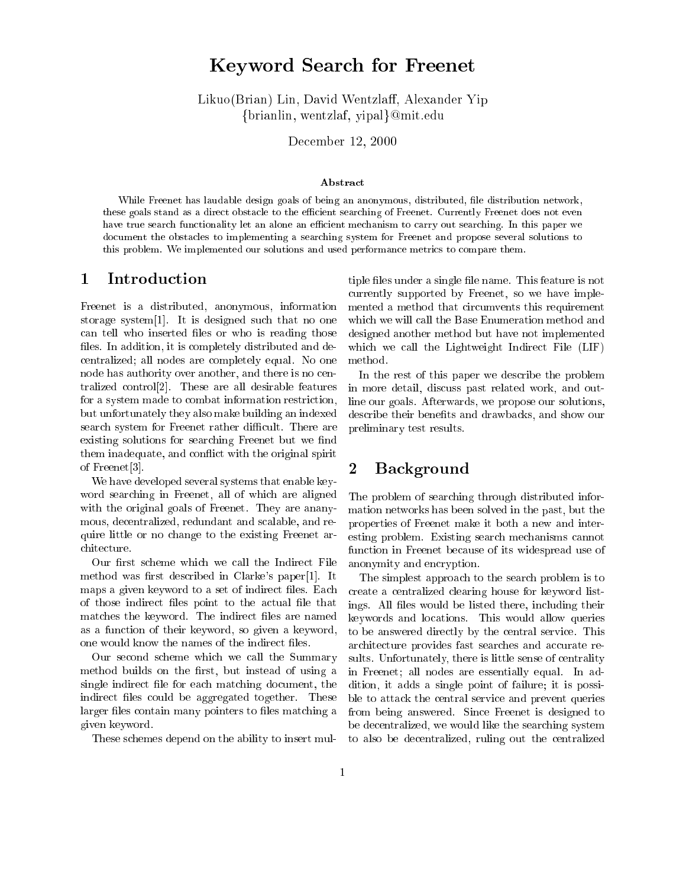# Keyword Sear
h for Freenet

Likuo(Brian) Lin, David Wentzlaff, Alexander Yip {brianlin, wentzlaf, yipal}@mit.edu

De
ember 12, 2000

### **Abstract**

While Freenet has laudable design goals of being an anonymous, distributed, le distribution network, these goals stand as a direct to the extended of Free Currently Freezeway. The extended of the extension and the have true search functionality let an extent and exceeding to the search out search computer we have a very se documenting the obstacles to implementing a searching system for Freenet and propose several solutions to this problem. We implemented our solutions and used performan
e metri
s to ompare them.

## 1 Introduction

Freenet is a distributed, anonymous, information storage system $[1]$ . It is designed such that no one can tell who inserted files or who is reading those files. In addition, it is completely distributed and deentralized; all nodes are ompletely equal. No one node has authority over another, and there is no entralized control<sup>[2]</sup>. These are all desirable features for a system made to combat information restriction, but unfortunately they also make building an indexed search system for Freenet rather difficult. There are existing solutions for searching Freenet but we find them inadequate, and conflict with the original spirit of Freenet $[3]$ .

We have developed several systems that enable keyword sear
hing in Freenet, all of whi
h are aligned with the original goals of Freenet. They are ananymous, decentralized, redundant and scalable, and require little or no hange to the existing Freenet ar hite
ture.

Our first scheme which we call the Indirect File method was first described in Clarke's paper[1]. It maps a given keyword to a set of indirect files. Each of those indirect files point to the actual file that matches the keyword. The indirect files are named as a fun
tion of their keyword, so given a keyword, one would know the names of the indirect files.

Our second scheme which we call the Summary method builds on the first, but instead of using a single indirect file for each matching document, the indirect files could be aggregated together. These larger files contain many pointers to files matching a given keyword.

These s
hemes depend on the ability to insert mul-

tiple files under a single file name. This feature is not urrently supported by Freenet, so we have implemented a method that circumvents this requirement which we will call the Base Enumeration method and designed another method but have not implemented which we call the Lightweight Indirect File (LIF) method.

In the rest of this paper we describe the problem in more detail, discuss past related work, and outline our goals. Afterwards, we propose our solutions, describe their benefits and drawbacks, and show our preliminary test results.

# 2 Ba
kground

The problem of sear
hing through distributed information networks has been solved in the past, but the properties of Freenet make it both a new and interesting problem. Existing sear
h me
hanisms annot function in Freenet because of its widespread use of anonymity and encryption.

The simplest approach to the search problem is to reate a entralized learing house for keyword listings. All files would be listed there, including their keywords and lo
ations. This would allow queries to be answered directly by the central service. This architecture provides fast searches and accurate results. Unfortunately, there is little sense of centrality in Freenet; all nodes are essentially equal. In addition, it adds a single point of failure; it is possible to attack the central service and prevent queries from being answered. Sin
e Freenet is designed to be de
entralized, we would like the sear
hing system to also be de
entralized, ruling out the entralized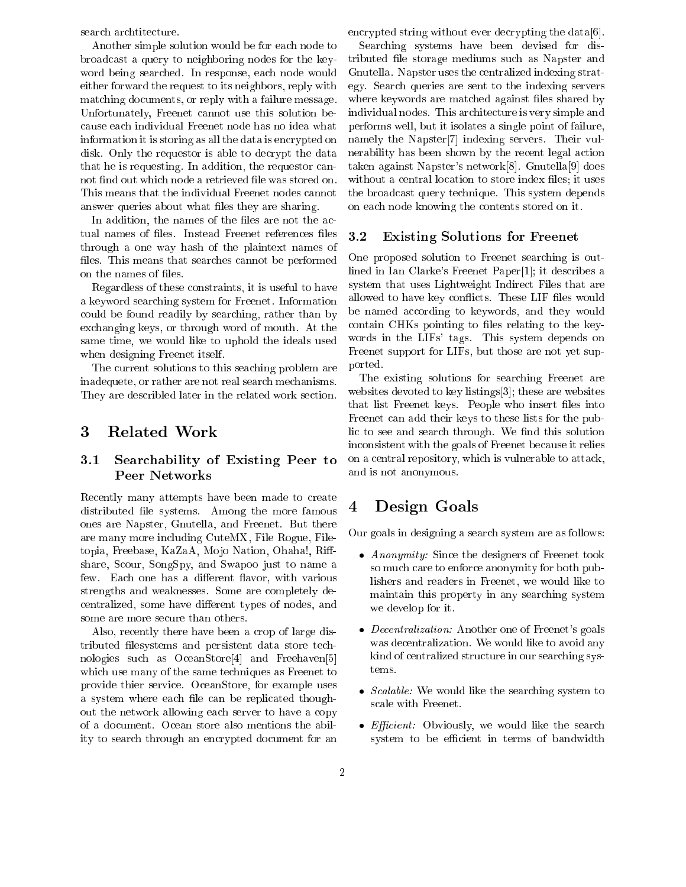sear
h ar
htite
ture.

Another simple solution would be for ea
h node to broad
ast a query to neighboring nodes for the keyword being sear
hed. In response, ea
h node would either forward the request to its neighbors, reply with mat
hing do
uments, or reply with a failure message. Unfortunately, Freenet annot use this solution be ause ea
h individual Freenet node has no idea what information it is storing as all the data is encrypted on disk. Only the requestor is able to decrypt the data that he is requesting. In addition, the requestor annot find out which node a retrieved file was stored on. This means that the individual Freenet nodes cannot answer queries about what files they are sharing.

In addition, the names of the files are not the actual names of files. Instead Freenet references files through a one way hash of the plaintext names of files. This means that searches cannot be performed on the names of files.

Regardless of these onstraints, it is useful to have a keyword sear
hing system for Freenet. Information could be found readily by searching, rather than by ex
hanging keys, or through word of mouth. At the same time, we would like to uphold the ideals used when designing Freenet itself.

The urrent solutions to this sea
hing problem are inadequete, or rather are not real sear
h me
hanisms. They are describled later in the related work section.

#### 3 Related Work

### 3.1 Sear
hability of Existing Peer to **Peer Networks**

Recently many attempts have been made to create distributed file systems. Among the more famous ones are Napster, Gnutella, and Freenet. But there are many more in
luding CuteMX, File Rogue, Filetopia, Freebase, KaZaA, Mojo Nation, Ohaha!, Riffshare, S
our, SongSpy, and Swapoo just to name a few. Each one has a different flavor, with various strengths and weaknesses. Some are ompletely de centralized, some have different types of nodes, and some are more secure than others.

Also, recently there have been a crop of large distributed filesystems and persistent data store technologies such as OceanStore<sup>[4]</sup> and Freehaven<sup>[5]</sup> which use many of the same techniques as Freenet to provide thier servi
e. O
eanStore, for example uses a system where each file can be replicated thoughout the network allowing ea
h server to have a opy of a do
ument. O
ean store also mentions the ability to sear
h through an en
rypted do
ument for an encrypted string without ever decrypting the data[6].

Sear
hing systems have been devised for distributed file storage mediums such as Napster and Gnutella. Napster uses the entralized indexing strategy. Sear
h queries are sent to the indexing servers where keywords are matched against files shared by individual nodes. This ar
hite
ture is very simple and performs well, but it isolates a single point of failure, namely the Napster<sup>[7]</sup> indexing servers. Their vulnerability has been shown by the recent legal action taken against Napster's network $[8]$ . Gnutella $[9]$  does without a central location to store index files; it uses the broad
ast query te
hnique. This system depends on ea
h node knowing the ontents stored on it.

### 3.2 Existing Solutions for Freenet

One proposed solution to Freenet sear
hing is outlined in Ian Clarke's Freenet Paper[1]; it describes a system that uses Lightweight Indirect Files that are allowed to have key conflicts. These LIF files would be named according to keywords, and they would contain CHKs pointing to files relating to the keywords in the LIFs' tags. This system depends on Freenet support for LIFs, but those are not yet supported.

The existing solutions for sear
hing Freenet are websites devoted to key listings[3]; these are websites that list Freenet keys. People who insert files into Freenet an add their keys to these lists for the public to see and search through. We find this solution in
onsistent with the goals of Freenet be
ause it relies on a entral repository, whi
h is vulnerable to atta
k, and is not anonymous.

# 4 Design Goals

Our goals in designing a sear
h system are as follows:

- Anonymity: Sin
e the designers of Freenet took so mu
h are to enfor
e anonymity for both publishers and readers in Freenet, we would like to maintain this property in any sear
hing system we develop for it.
- *Decentralization:* Another one of Freenet's goals was de
entralization. We would like to avoid any kind of centralized structure in our searching systems.
- S
alable: We would like the sear
hing system to s
ale with Freenet.
- EÆ
ient: Obviously, we would like the sear
h system to be efficient in terms of bandwidth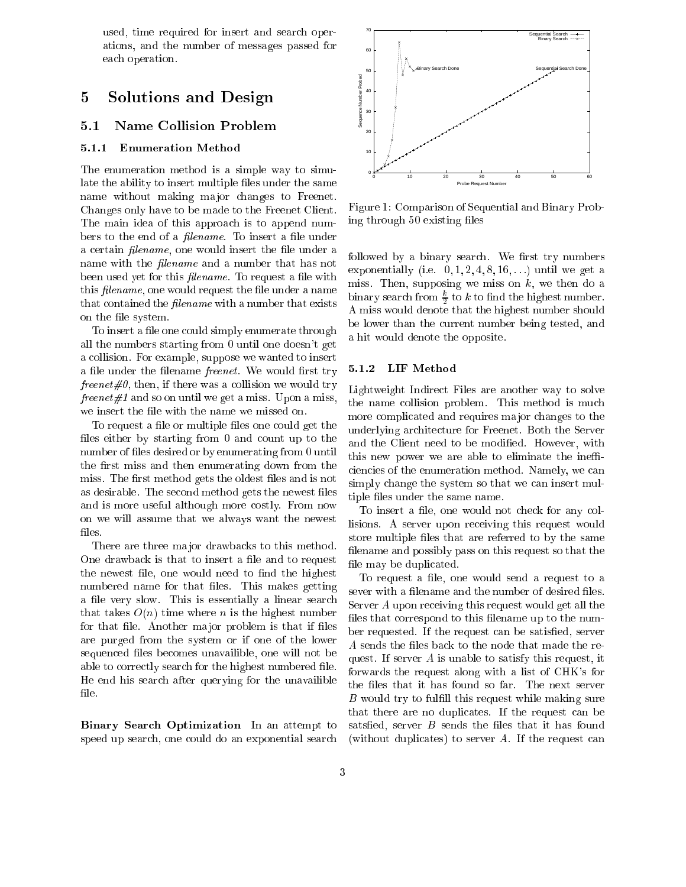used, time required for insert and sear
h operations, and the number of messages passed for ea
h operation.

# 5 Solutions and Design

## 5.1 Name Collision Problem

### 5.1.1 Enumeration Method

The enumeration method is a simple way to simulate the ability to insert multiple files under the same name without making major changes to Freenet. Changes only have to be made to the Freenet Client. The main idea of this approach is to append numbers to the end of a *filename*. To insert a file under a certain *filename*, one would insert the file under a name with the *filename* and a number that has not been used yet for this *filename*. To request a file with this *filename*, one would request the file under a name that contained the *filename* with a number that exists on the file system.

To insert a file one could simply enumerate through all the numbers starting from 0 until one doesn't get a ollision. For example, suppose we wanted to insert a file under the filename *freenet*. We would first try freenet  $\#0$ , then, if there was a collision we would try freenet  $\#1$  and so on until we get a miss. Upon a miss, we insert the file with the name we missed on.

To request a file or multiple files one could get the files either by starting from  $0$  and count up to the number of files desired or by enumerating from 0 until the first miss and then enumerating down from the miss. The first method gets the oldest files and is not as desirable. The second method gets the newest files and is more useful although more ostly. From now on we will assume that we always want the newest files.

There are three major drawbacks to this method. One drawback is that to insert a file and to request the newest file, one would need to find the highest numbered name for that files. This makes getting a file very slow. This is essentially a linear search that takes  $O(n)$  time where n is the highest number for that file. Another major problem is that if files are purged from the system or if one of the lower sequenced files becomes unavailible, one will not be able to correctly search for the highest numbered file. He end his sear
h after querying for the unavailible file.

Binary Sear
h Optimization In an attempt to speed up search, one could do an exponential search



Figure 1: Comparison of Sequential and Binary Probing through 50 existing files

followed by a binary search. We first try numbers exponentially (i.e.  $0, 1, 2, 4, 8, 16, \ldots$ ) until we get a miss. Then, supposing we miss on  $k$ , we then do a binary search from  $\frac{1}{2}$  to k to find the highest number. A miss would denote that the highest number should be lower than the urrent number being tested, and a hit would denote the opposite.

### 5.1.2 LIF Method

Lightweight Indirect Files are another way to solve the name ollision problem. This method is mu
h more ompli
ated and requires ma jor hanges to the underlying ar
hite
ture for Freenet. Both the Server and the Client need to be modified. However, with this new power we are able to eliminate the inefficiencies of the enumeration method. Namely, we can simply change the system so that we can insert multiple files under the same name.

To insert a file, one would not check for any collisions. A server upon re
eiving this request would store multiple files that are referred to by the same filename and possibly pass on this request so that the file may be duplicated.

To request a file, one would send a request to a sever with a filename and the number of desired files. Server A upon re
eiving this request would get all the files that correspond to this filename up to the number requested. If the request can be satisfied, server A sends the files back to the node that made the request. If server A is unable to satisfy this request, it forwards the request along with a list of CHK's for the files that it has found so far. The next server  $B$  would try to fulfill this request while making sure that there are no duplicates. If the request can be satsfied, server  $B$  sends the files that it has found (without duplicates) to server  $A$ . If the request can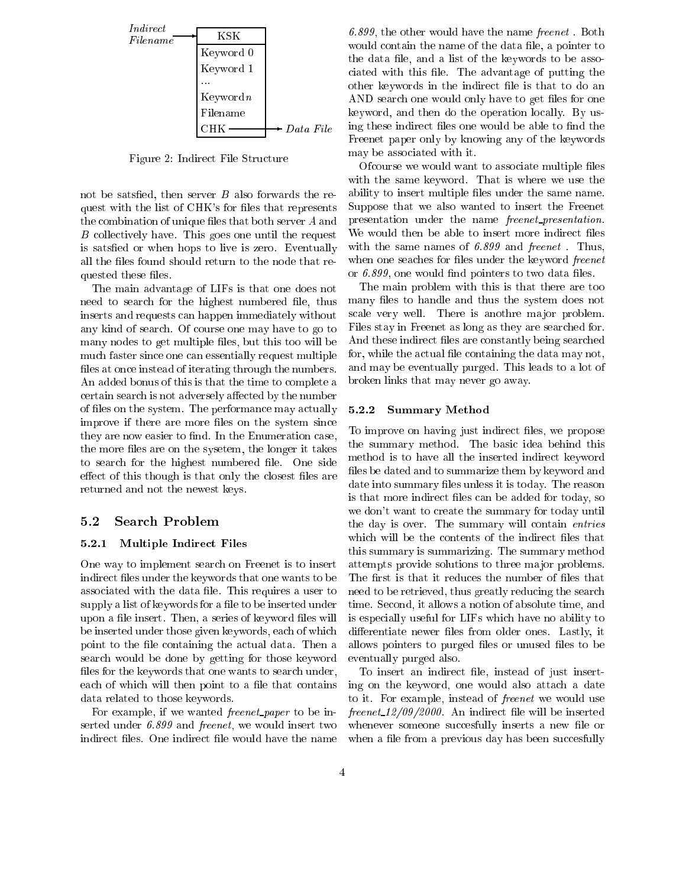

Figure 2: Indire
t File Stru
ture

not be satsfied, then server  $B$  also forwards the request with the list of CHK's for files that represents the combination of unique files that both server  $A$  and B collectively have. This goes one until the request is satsfied or when hops to live is zero. Eventually all the files found should return to the node that requested these files.

The main advantage of LIFs is that one does not need to search for the highest numbered file, thus inserts and requests can happen immediately without any kind of sear
h. Of ourse one may have to go to many nodes to get multiple files, but this too will be mu
h faster sin
e one an essentially request multiple files at once instead of iterating through the numbers. An added bonus of this is that the time to omplete a certain search is not adversely affected by the number of files on the system. The performance may actually improve if there are more files on the system since they are now easier to find. In the Enumeration case, the more files are on the sysetem, the longer it takes to search for the highest numbered file. One side effect of this though is that only the closest files are returned and not the newest keys.

### 5.2 Sear
h Problem

#### 5.2.1 Multiple Indire
t Files

One way to implement sear
h on Freenet is to insert indirect files under the keywords that one wants to be associated with the data file. This requires a user to supply a list of keywords for a file to be inserted under upon a file insert. Then, a series of keyword files will be inserted under those given keywords, ea
h of whi
h point to the file containing the actual data. Then a sear
h would be done by getting for those keyword files for the keywords that one wants to search under, each of which will then point to a file that contains data related to those keywords.

For example, if we wanted *freenet paper* to be inserted under 6.899 and freenet, we would insert two indirect files. One indirect file would have the name

6.899, the other would have the name freenet. Both would contain the name of the data file, a pointer to the data file, and a list of the keywords to be associated with this file. The advantage of putting the other keywords in the indirect file is that to do an AND search one would only have to get files for one keyword, and then do the operation locally. By using these indirect files one would be able to find the Freenet paper only by knowing any of the keywords may be asso
iated with it.

Ofcourse we would want to associate multiple files with the same keyword. That is where we use the ability to insert multiple files under the same name. Suppose that we also wanted to insert the Freenet presentation under the name *freenet\_presentation*. We would then be able to insert more indirect files with the same names of 6.899 and freenet. Thus, when one seaches for files under the keyword *freenet* or  $6.899$ , one would find pointers to two data files.

The main problem with this is that there are too many files to handle and thus the system does not scale very well. There is anothre major problem. Files stay in Freenet as long as they are sear
hed for. And these indirect files are constantly being searched for, while the actual file containing the data may not, and may be eventually purged. This leads to a lot of broken links that may never go away.

### 5.2.2 Summary Method

To improve on having just indirect files, we propose the summary method. The basi idea behind this method is to have all the inserted indire
t keyword files be dated and to summarize them by keyword and date into summary files unless it is today. The reason is that more indirect files can be added for today, so we don't want to create the summary for today until the day is over. The summary will contain *entries* which will be the contents of the indirect files that this summary is summarizing. The summary method attempts provide solutions to three major problems. The first is that it reduces the number of files that need to be retrieved, thus greatly redu
ing the sear
h time. Se
ond, it allows a notion of absolute time, and is espe
ially useful for LIFs whi
h have no ability to differentiate newer files from older ones. Lastly, it allows pointers to purged files or unused files to be eventually purged also.

To insert an indirect file, instead of just inserting on the keyword, one would also atta
h a date to it. For example, instead of freenet we would use freenet 12/09/2000. An indirect file will be inserted whenever someone succesfully inserts a new file or when a file from a previous day has been succesfully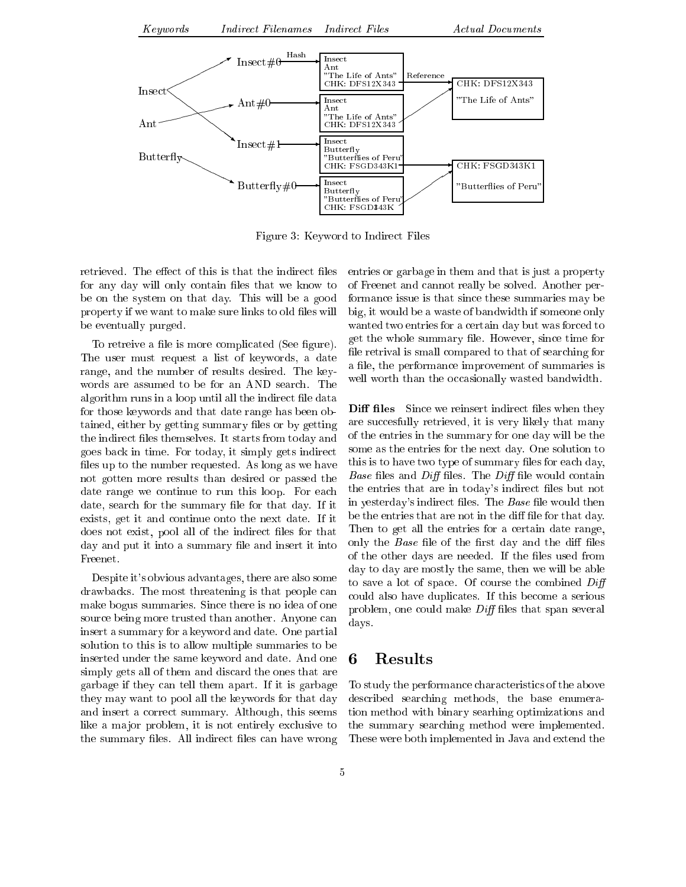

Figure 3: Keyword to Indire
t Files

retrieved. The effect of this is that the indirect files for any day will only contain files that we know to be on the system on that day. This will be a good property if we want to make sure links to old files will be eventually purged.

To retreive a file is more complicated (See figure). The user must request a list of keywords, a date range, and the number of results desired. The keywords are assumed to be for an AND sear
h. The algorithm runs in a loop until all the indirect file data for those keywords and that date range has been obtained, either by getting summary files or by getting the indirect files themselves. It starts from today and goes ba
k in time. For today, it simply gets indire
t files up to the number requested. As long as we have not gotten more results than desired or passed the date range we continue to run this loop. For each date, search for the summary file for that day. If it exists, get it and ontinue onto the next date. If it does not exist, pool all of the indirect files for that day and put it into a summary file and insert it into Freenet.

Despite it's obvious advantages, there are also some drawba
ks. The most threatening is that people an make bogus summaries. Sin
e there is no idea of one source being more trusted than another. Anyone can insert a summary for a keyword and date. One partial solution to this is to allow multiple summaries to be inserted under the same keyword and date. And one simply gets all of them and discard the ones that are garbage if they an tell them apart. If it is garbage they may want to pool all the keywords for that day and insert a orre
t summary. Although, this seems like a major problem, it is not entirely exclusive to the summary files. All indirect files can have wrong entries or garbage in them and that is just a property of Freenet and annot really be solved. Another performan
e issue is that sin
e these summaries may be big, it would be a waste of bandwidth if someone only wanted two entries for a ertain day but was for
ed to get the whole summary file. However, since time for file retrival is small compared to that of searching for a file, the performance improvement of summaries is well worth than the occasionally wasted bandwidth.

**Diff files** Since we reinsert indirect files when they are succesfully retrieved, it is very likely that many of the entries in the summary for one day will be the some as the entries for the next day. One solution to this is to have two type of summary files for each day, *Base* files and *Diff* files. The *Diff* file would contain the entries that are in today's indirect files but not in yesterday's indirect files. The *Base* file would then be the entries that are not in the diff file for that day. Then to get all the entries for a certain date range, only the *Base* file of the first day and the diff files of the other days are needed. If the files used from day to day are mostly the same, then we will be able to save a lot of space. Of course the combined  $Diff$ ould also have dupli
ates. If this be
ome a serious problem, one could make  $Diff$  files that span several days.

## 6 Results

To study the performan
e hara
teristi
s of the above des
ribed sear
hing methods, the base enumeration method with binary searhing optimizations and the summary sear
hing method were implemented. These were both implemented in Java and extend the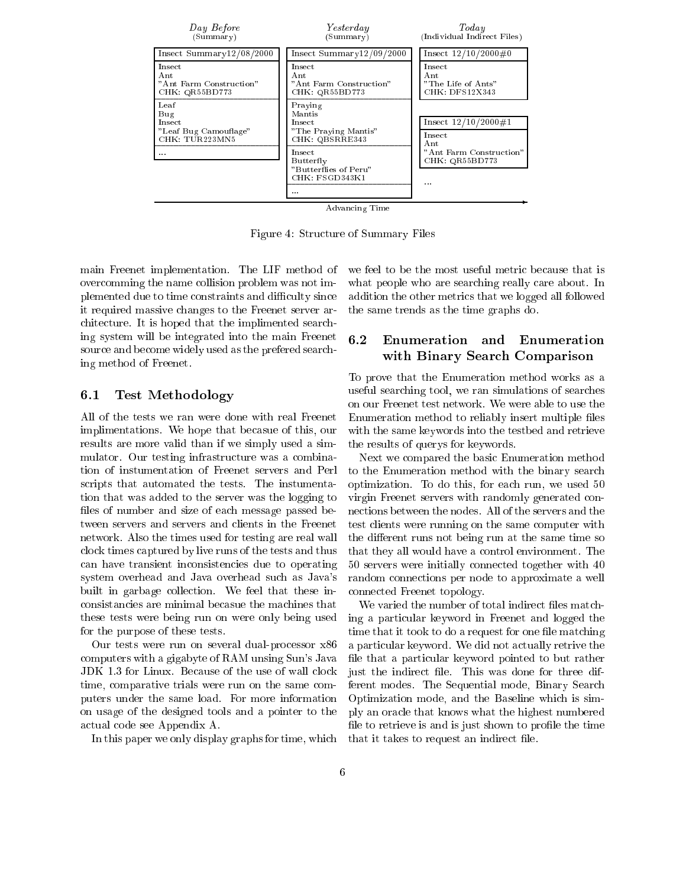

Figure 4: Stru
ture of Summary Files

main Freenet implementation. The LIF method of over
omming the name ollision problem was not implemented due to time constraints and difficulty since it required massive hanges to the Freenet server ar chitecture. It is hoped that the implimented searching system will be integrated into the main Freenet source and become widely used as the prefered searching method of Freenet.

### 6.1 Test Methodology

All of the tests we ran were done with real Freenet implimentations. We hope that be
asue of this, our results are more valid than if we simply used a simmulator. Our testing infrastructure was a combination of instumentation of Freenet servers and Perl s
ripts that automated the tests. The instumentation that was added to the server was the logging to files of number and size of each message passed between servers and servers and lients in the Freenet network. Also the times used for testing are real wall clock times captured by live runs of the tests and thus an have transient in
onsisten
ies due to operating system overhead and Java overhead su
h as Java's built in garbage collection. We feel that these inonsistan
ies are minimal be
asue the ma
hines that these tests were being run on were only being used for the purpose of these tests.

Our tests were run on several dual-processor x86 omputers with a gigabyte of RAM unsing Sun's Java JDK 1.3 for Linux. Because of the use of wall clock time, comparative trials were run on the same computers under the same load. For more information on usage of the designed tools and a pointer to the a
tual ode see Appendix A.

In this paper we only display graphs for time, whi
h

we feel to be the most useful metric because that is what people who are searching really care about. In addition the other metri
s that we logged all followed the same trends as the time graphs do.

#### 6.2 Enumeration and Enumeration with Binary Sear
h Comparison

To prove that the Enumeration method works as a useful sear
hing tool, we ran simulations of sear
hes on our Freenet test network. We were able to use the Enumeration method to reliably insert multiple files with the same keywords into the testbed and retrieve the results of querys for keywords.

Next we ompared the basi Enumeration method to the Enumeration method with the binary sear
h optimization. To do this, for ea
h run, we used 50 virgin Freenet servers with randomly generated onne
tions between the nodes. All of the servers and the test lients were running on the same omputer with the different runs not being run at the same time so that they all would have a ontrol environment. The 50 servers were initially onne
ted together with 40 random onne
tions per node to approximate a well onne
ted Freenet topology.

We varied the number of total indirect files matching a parti
ular keyword in Freenet and logged the time that it took to do a request for one file matching a parti
ular keyword. We did not a
tually retrive the file that a particular keyword pointed to but rather just the indirect file. This was done for three different modes. The Sequential mode, Binary Sear
h Optimization mode, and the Baseline whi
h is simply an ora
le that knows what the highest numbered file to retrieve is and is just shown to profile the time that it takes to request an indirect file.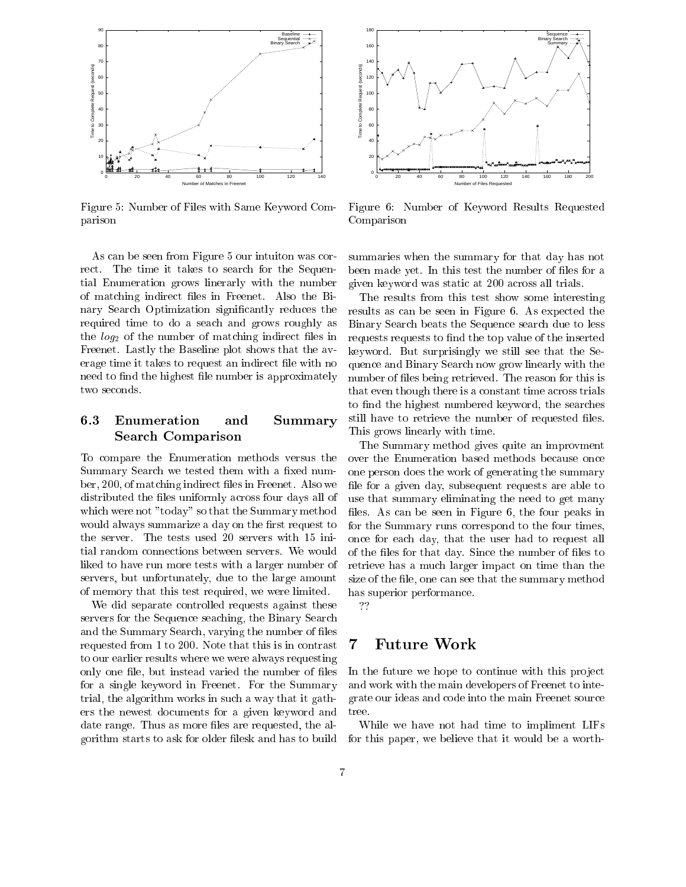

Figure 5: Number of Files with Same Keyword Comparison

As an be seen from Figure 5 our intuiton was orrect. The time it takes to search for the Sequential Enumeration grows linerarly with the number of matching indirect files in Freenet. Also the Binary Search Optimization significantly reduces the required time to do a sea
h and grows roughly as the  $log_2$  of the number of matching indirect files in Freenet. Lastly the Baseline plot shows that the average time it takes to request an indirect file with no need to find the highest file number is approximately two seconds.

## 6.3 Enumeration and Summary Sear
h Comparison

To ompare the Enumeration methods versus the Summary Search we tested them with a fixed number, 200, of matching indirect files in Freenet. Also we distributed the files uniformly across four days all of whi
h were not "today" so that the Summary method would always summarize a day on the first request to the server. The tests used 20 servers with 15 initial random onne
tions between servers. We would liked to have run more tests with a larger number of servers, but unfortunately, due to the large amount of memory that this test required, we were limited.

We did separate ontrolled requests against these servers for the Sequence seaching, the Binary Search and the Summary Sear
h, varying the number of les requested from 1 to 200. Note that this is in contrast to our earlier results where we were always requesting only one file, but instead varied the number of files for a single keyword in Freenet. For the Summary trial, the algorithm works in su
h a way that it gathers the newest do
uments for a given keyword and date range. Thus as more files are requested, the algorithm starts to ask for older lesk and has to build



Figure 6: Number of Keyword Results Requested Comparison

summaries when the summary for that day has not been made yet. In this test the number of files for a given keyword was stati at 200 a
ross all trials.

The results from this test show some interesting results as an be seen in Figure 6. As expe
ted the Binary Sear
h beats the Sequen
e sear
h due to less requests requests to find the top value of the inserted keyword. But surprisingly we still see that the Sequen
e and Binary Sear
h now grow linearly with the number of files being retrieved. The reason for this is that even though there is a constant time across trials to find the highest numbered keyword, the searches still have to retrieve the number of requested files. This grows linearly with time.

The Summary method gives quite an improvment over the Enumeration based methods because once one person does the work of generating the summary file for a given day, subsequent requests are able to use that summary eliminating the need to get many files. As can be seen in Figure 6, the four peaks in for the Summary runs orrespond to the four times, on
e for ea
h day, that the user had to request all of the files for that day. Since the number of files to retrieve has a much larger impact on time than the size of the file, one can see that the summary method has superior performan
e.

??

#### **Future Work**  $\overline{7}$

In the future we hope to continue with this project and work with the main developers of Freenet to integrate our ideas and ode into the main Freenet sour
e tree.

While we have not had time to impliment LIFs for this paper, we believe that it would be a worth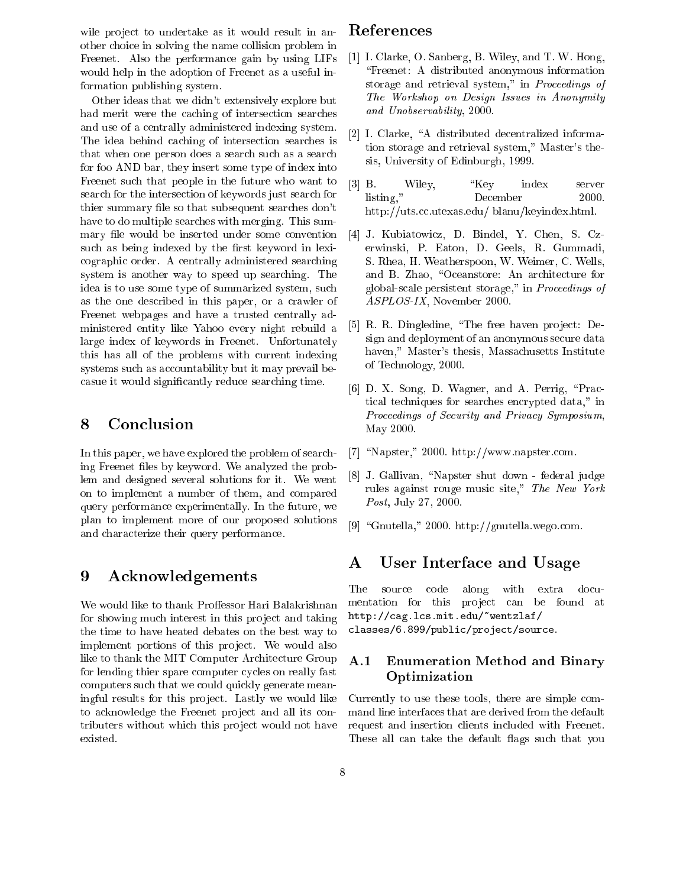wile project to undertake as it would result in another hoi
e in solving the name ollision problem in Freenet. Also the performan
e gain by using LIFs would help in the adoption of Freenet as a useful information publishing system.

Other ideas that we didn't extensively explore but had merit were the caching of intersection searches and use of a entrally administered indexing system. The idea behind caching of intersection searches is that when one person does a search such as a search for foo AND bar, they insert some type of index into Freenet su
h that people in the future who want to sear
h for the interse
tion of keywords just sear
h for thier summary file so that subsequent searches don't have to do multiple sear
hes with merging. This summary file would be inserted under some convention such as being indexed by the first keyword in lexiographi order. A entrally administered sear
hing system is another way to speed up sear
hing. The idea is to use some type of summarized system, su
h as the one des
ribed in this paper, or a rawler of Freenet webpages and have a trusted entrally administered entity like Yahoo every night rebuild a large index of keywords in Freenet. Unfortunately this has all of the problems with urrent indexing systems such as accountability but it may prevail becasue it would significantly reduce searching time.

# 8 Con
lusion

In this paper, we have explored the problem of sear
hing Freenet files by keyword. We analyzed the problem and designed several solutions for it. We went on to implement a number of them, and ompared query performan
e experimentally. In the future, we plan to implement more of our proposed solutions and hara
terize their query performan
e.

#### 9 Acknowledgements

We would like to thank Proffessor Hari Balakrishnan for showing much interest in this project and taking the time to have heated debates on the best way to implement portions of this project. We would also like to thank the MIT Computer Architecture Group for lending thier spare computer cycles on really fast computers such that we could quickly generate meaningful results for this project. Lastly we would like to acknowledge the Freenet project and all its contributers without which this project would not have existed.

# Referen
es

- [1] I. Clarke, O. Sanberg, B. Wiley, and T. W. Hong, \Freenet: A distributed anonymous information storage and retrieval system," in *Proceedings of* The Workshop on Design Issues in Anonymity and Unobservability, 2000.
- [2] I. Clarke, "A distributed decentralized information storage and retrieval system," Master's thesis, University of Edinburgh, 1999.
- [3] B. Wiley, "Key index server listing," De
ember 2000. http://uts.cc.utexas.edu/ blanu/keyindex.html.
- [4] J. Kubiatowicz, D. Bindel, Y. Chen, S. Czerwinski, P. Eaton, D. Geels, R. Gummadi, S. Rhea, H. Weatherspoon, W. Weimer, C. Wells, and B. Zhao, "Oceanstore: An architecture for global-s
ale persistent storage," in Pro
eedings of ASPLOS-IX, November 2000.
- [5] R. R. Dingledine, "The free haven project: Design and deployment of an anonymous se
ure data haven," Master's thesis, Massa
husetts Institute of Te
hnology, 2000.
- $[6]$  D. X. Song, D. Wagner, and A. Perrig, "Practi
al te
hniques for sear
hes en
rypted data," in Proceedings of Security and Privacy Symposium, May 2000.
- [7] "Napster," 2000. http://www.napster.com.
- [8] J. Gallivan, "Napster shut down federal judge rules against rouge music site," The New York Post, July 27, 2000.
- [9] "Gnutella," 2000. http://gnutella.wego.com.

# A User Interfa
e and Usage

The source code along with extra documentation for this project can be found at http://
ag.l
s.mit.edu/~wentzlaf/ classes/6.899/public/project/source.

## A.1 Enumeration Method and Binary Optimization

Currently to use these tools, there are simple ommand line interfa
es that are derived from the default request and insertion lients in
luded with Freenet. These all can take the default flags such that you